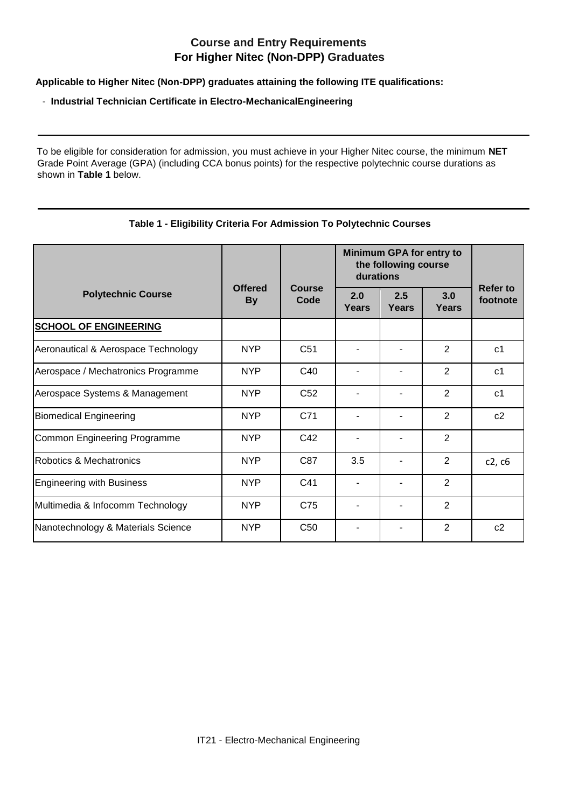## **Course and Entry Requirements For Higher Nitec (Non-DPP) Graduates**

**Applicable to Higher Nitec (Non-DPP) graduates attaining the following ITE qualifications:** 

## - **Industrial Technician Certificate in Electro-MechanicalEngineering**

To be eligible for consideration for admission, you must achieve in your Higher Nitec course, the minimum **NET**  Grade Point Average (GPA) (including CCA bonus points) for the respective polytechnic course durations as shown in **Table 1** below.

## **Table 1 - Eligibility Criteria For Admission To Polytechnic Courses**

|                                     |                             |                       | Minimum GPA for entry to<br>the following course<br>durations |              |                |                             |
|-------------------------------------|-----------------------------|-----------------------|---------------------------------------------------------------|--------------|----------------|-----------------------------|
| <b>Polytechnic Course</b>           | <b>Offered</b><br><b>By</b> | <b>Course</b><br>Code | 2.0<br>Years                                                  | 2.5<br>Years | 3.0<br>Years   | <b>Refer to</b><br>footnote |
| <b>SCHOOL OF ENGINEERING</b>        |                             |                       |                                                               |              |                |                             |
| Aeronautical & Aerospace Technology | <b>NYP</b>                  | C <sub>51</sub>       |                                                               |              | 2              | c <sub>1</sub>              |
| Aerospace / Mechatronics Programme  | <b>NYP</b>                  | C40                   |                                                               |              | $\overline{2}$ | c <sub>1</sub>              |
| Aerospace Systems & Management      | <b>NYP</b>                  | C52                   |                                                               |              | 2              | c <sub>1</sub>              |
| <b>Biomedical Engineering</b>       | <b>NYP</b>                  | C71                   |                                                               |              | 2              | c2                          |
| Common Engineering Programme        | <b>NYP</b>                  | C42                   |                                                               |              | $\overline{2}$ |                             |
| Robotics & Mechatronics             | <b>NYP</b>                  | C87                   | 3.5                                                           |              | 2              | c2, c6                      |
| <b>Engineering with Business</b>    | <b>NYP</b>                  | C41                   |                                                               |              | $\overline{2}$ |                             |
| Multimedia & Infocomm Technology    | <b>NYP</b>                  | C75                   |                                                               |              | 2              |                             |
| Nanotechnology & Materials Science  | <b>NYP</b>                  | C50                   |                                                               |              | 2              | c2                          |